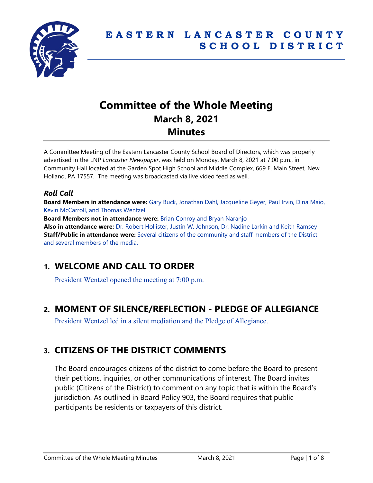

# **Committee of the Whole Meeting March 8, 2021 Minutes**

A Committee Meeting of the Eastern Lancaster County School Board of Directors, which was properly advertised in the LNP *Lancaster Newspaper*, was held on Monday, March 8, 2021 at 7:00 p.m., in Community Hall located at the Garden Spot High School and Middle Complex, 669 E. Main Street, New Holland, PA 17557. The meeting was broadcasted via live video feed as well.

# *Roll Call*

**Board Members in attendance were:** Gary Buck, Jonathan Dahl, Jacqueline Geyer, Paul Irvin, Dina Maio, Kevin McCarroll, and Thomas Wentzel

**Board Members not in attendance were: Brian Conroy and Bryan Naranjo Also in attendance were:** Dr. Robert Hollister, Justin W. Johnson, Dr. Nadine Larkin and Keith Ramsey **Staff/Public in attendance were:** Several citizens of the community and staff members of the District and several members of the media.

# **1. WELCOME AND CALL TO ORDER**

President Wentzel opened the meeting at 7:00 p.m.

# **2. MOMENT OF SILENCE/REFLECTION - PLEDGE OF ALLEGIANCE**

President Wentzel led in a silent mediation and the Pledge of Allegiance.

# **3. CITIZENS OF THE DISTRICT COMMENTS**

The Board encourages citizens of the district to come before the Board to present their petitions, inquiries, or other communications of interest. The Board invites public (Citizens of the District) to comment on any topic that is within the Board's jurisdiction. As outlined in Board Policy 903, the Board requires that public participants be residents or taxpayers of this district.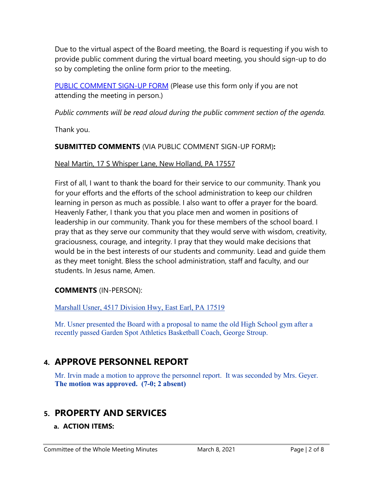Due to the virtual aspect of the Board meeting, the Board is requesting if you wish to provide public comment during the virtual board meeting, you should sign-up to do so by completing the online form prior to the meeting.

[PUBLIC COMMENT SIGN-UP FORM](https://forms.gle/zDXXoX8rZQUxt1Ap6) (Please use this form only if you are not attending the meeting in person.)

*Public comments will be read aloud during the public comment section of the agenda.*

Thank you.

# **SUBMITTED COMMENTS** (VIA PUBLIC COMMENT SIGN-UP FORM)**:**

# Neal Martin, 17 S Whisper Lane, New Holland, PA 17557

First of all, I want to thank the board for their service to our community. Thank you for your efforts and the efforts of the school administration to keep our children learning in person as much as possible. I also want to offer a prayer for the board. Heavenly Father, I thank you that you place men and women in positions of leadership in our community. Thank you for these members of the school board. I pray that as they serve our community that they would serve with wisdom, creativity, graciousness, courage, and integrity. I pray that they would make decisions that would be in the best interests of our students and community. Lead and guide them as they meet tonight. Bless the school administration, staff and faculty, and our students. In Jesus name, Amen.

**COMMENTS** (IN-PERSON):

Marshall Usner, 4517 Division Hwy, East Earl, PA 17519

Mr. Usner presented the Board with a proposal to name the old High School gym after a recently passed Garden Spot Athletics Basketball Coach, George Stroup.

# **4. APPROVE PERSONNEL REPORT**

Mr. Irvin made a motion to approve the personnel report. It was seconded by Mrs. Geyer. **The motion was approved. (7-0; 2 absent)**

# **5. PROPERTY AND SERVICES**

# **a. ACTION ITEMS:**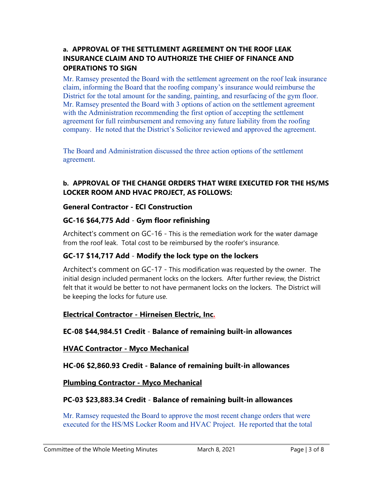### **a. APPROVAL OF THE SETTLEMENT AGREEMENT ON THE ROOF LEAK INSURANCE CLAIM AND TO AUTHORIZE THE CHIEF OF FINANCE AND OPERATIONS TO SIGN**

Mr. Ramsey presented the Board with the settlement agreement on the roof leak insurance claim, informing the Board that the roofing company's insurance would reimburse the District for the total amount for the sanding, painting, and resurfacing of the gym floor. Mr. Ramsey presented the Board with 3 options of action on the settlement agreement with the Administration recommending the first option of accepting the settlement agreement for full reimbursement and removing any future liability from the roofing company. He noted that the District's Solicitor reviewed and approved the agreement.

The Board and Administration discussed the three action options of the settlement agreement.

### **b. APPROVAL OF THE CHANGE ORDERS THAT WERE EXECUTED FOR THE HS/MS LOCKER ROOM AND HVAC PROJECT, AS FOLLOWS:**

#### **General Contractor - ECI Construction**

### **GC-16 \$64,775 Add** - **Gym floor refinishing**

Architect's comment on GC-16 - This is the remediation work for the water damage from the roof leak. Total cost to be reimbursed by the roofer's insurance.

# **GC-17 \$14,717 Add** - **Modify the lock type on the lockers**

Architect's comment on GC-17 - This modification was requested by the owner. The initial design included permanent locks on the lockers. After further review, the District felt that it would be better to not have permanent locks on the lockers. The District will be keeping the locks for future use.

### **Electrical Contractor - Hirneisen Electric, Inc.**

### **EC-08 \$44,984.51 Credit** - **Balance of remaining built-in allowances**

### **HVAC Contractor - Myco Mechanical**

# **HC-06 \$2,860.93 Credit - Balance of remaining built-in allowances**

### **Plumbing Contractor - Myco Mechanical**

### **PC-03 \$23,883.34 Credit** - **Balance of remaining built-in allowances**

Mr. Ramsey requested the Board to approve the most recent change orders that were executed for the HS/MS Locker Room and HVAC Project. He reported that the total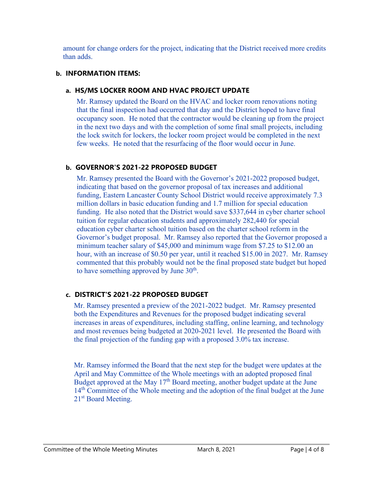amount for change orders for the project, indicating that the District received more credits than adds.

#### **b. INFORMATION ITEMS:**

#### **a. HS/MS LOCKER ROOM AND HVAC PROJECT UPDATE**

Mr. Ramsey updated the Board on the HVAC and locker room renovations noting that the final inspection had occurred that day and the District hoped to have final occupancy soon. He noted that the contractor would be cleaning up from the project in the next two days and with the completion of some final small projects, including the lock switch for lockers, the locker room project would be completed in the next few weeks. He noted that the resurfacing of the floor would occur in June.

### **b. GOVERNOR'S 2021-22 PROPOSED BUDGET**

Mr. Ramsey presented the Board with the Governor's 2021-2022 proposed budget, indicating that based on the governor proposal of tax increases and additional funding, Eastern Lancaster County School District would receive approximately 7.3 million dollars in basic education funding and 1.7 million for special education funding. He also noted that the District would save \$337,644 in cyber charter school tuition for regular education students and approximately 282,440 for special education cyber charter school tuition based on the charter school reform in the Governor's budget proposal. Mr. Ramsey also reported that the Governor proposed a minimum teacher salary of \$45,000 and minimum wage from \$7.25 to \$12.00 an hour, with an increase of \$0.50 per year, until it reached \$15.00 in 2027. Mr. Ramsey commented that this probably would not be the final proposed state budget but hoped to have something approved by June  $30<sup>th</sup>$ .

# **c. DISTRICT'S 2021-22 PROPOSED BUDGET**

Mr. Ramsey presented a preview of the 2021-2022 budget. Mr. Ramsey presented both the Expenditures and Revenues for the proposed budget indicating several increases in areas of expenditures, including staffing, online learning, and technology and most revenues being budgeted at 2020-2021 level. He presented the Board with the final projection of the funding gap with a proposed 3.0% tax increase.

Mr. Ramsey informed the Board that the next step for the budget were updates at the April and May Committee of the Whole meetings with an adopted proposed final Budget approved at the May  $17<sup>th</sup>$  Board meeting, another budget update at the June 14<sup>th</sup> Committee of the Whole meeting and the adoption of the final budget at the June 21<sup>st</sup> Board Meeting.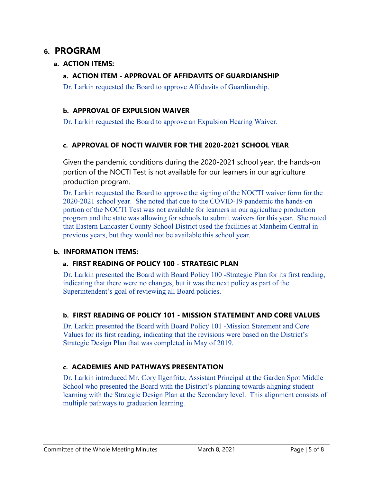# **6. PROGRAM**

### **a. ACTION ITEMS:**

### **a. ACTION ITEM - APPROVAL OF AFFIDAVITS OF GUARDIANSHIP**

Dr. Larkin requested the Board to approve Affidavits of Guardianship.

### **b. APPROVAL OF EXPULSION WAIVER**

Dr. Larkin requested the Board to approve an Expulsion Hearing Waiver.

### **c. APPROVAL OF NOCTI WAIVER FOR THE 2020-2021 SCHOOL YEAR**

Given the pandemic conditions during the 2020-2021 school year, the hands-on portion of the NOCTI Test is not available for our learners in our agriculture production program.

Dr. Larkin requested the Board to approve the signing of the NOCTI waiver form for the 2020-2021 school year. She noted that due to the COVID-19 pandemic the hands-on portion of the NOCTI Test was not available for learners in our agriculture production program and the state was allowing for schools to submit waivers for this year. She noted that Eastern Lancaster County School District used the facilities at Manheim Central in previous years, but they would not be available this school year.

### **b. INFORMATION ITEMS:**

### **a. FIRST READING OF POLICY 100 - STRATEGIC PLAN**

Dr. Larkin presented the Board with Board Policy 100 -Strategic Plan for its first reading, indicating that there were no changes, but it was the next policy as part of the Superintendent's goal of reviewing all Board policies.

### **b. FIRST READING OF POLICY 101 - MISSION STATEMENT AND CORE VALUES**

Dr. Larkin presented the Board with Board Policy 101 -Mission Statement and Core Values for its first reading, indicating that the revisions were based on the District's Strategic Design Plan that was completed in May of 2019.

# **c. ACADEMIES AND PATHWAYS PRESENTATION**

Dr. Larkin introduced Mr. Cory Ilgenfritz, Assistant Principal at the Garden Spot Middle School who presented the Board with the District's planning towards aligning student learning with the Strategic Design Plan at the Secondary level. This alignment consists of multiple pathways to graduation learning.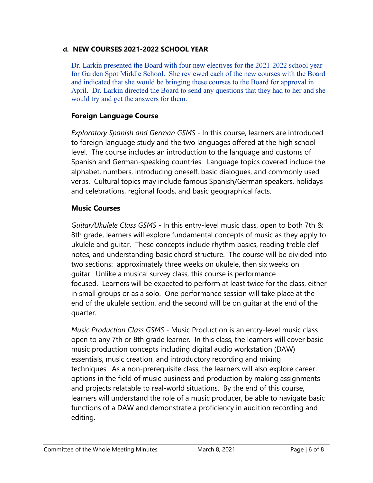### **d. NEW COURSES 2021-2022 SCHOOL YEAR**

Dr. Larkin presented the Board with four new electives for the 2021-2022 school year for Garden Spot Middle School. She reviewed each of the new courses with the Board and indicated that she would be bringing these courses to the Board for approval in April. Dr. Larkin directed the Board to send any questions that they had to her and she would try and get the answers for them.

# **Foreign Language Course**

*Exploratory Spanish and German GSMS* - In this course, learners are introduced to foreign language study and the two languages offered at the high school level. The course includes an introduction to the language and customs of Spanish and German-speaking countries. Language topics covered include the alphabet, numbers, introducing oneself, basic dialogues, and commonly used verbs. Cultural topics may include famous Spanish/German speakers, holidays and celebrations, regional foods, and basic geographical facts.

# **Music Courses**

*Guitar/Ukulele Class GSMS* - In this entry-level music class, open to both 7th & 8th grade, learners will explore fundamental concepts of music as they apply to ukulele and guitar. These concepts include rhythm basics, reading treble clef notes, and understanding basic chord structure. The course will be divided into two sections: approximately three weeks on ukulele, then six weeks on guitar. Unlike a musical survey class, this course is performance focused. Learners will be expected to perform at least twice for the class, either in small groups or as a solo. One performance session will take place at the end of the ukulele section, and the second will be on guitar at the end of the quarter.

*Music Production Class GSMS* - Music Production is an entry-level music class open to any 7th or 8th grade learner. In this class, the learners will cover basic music production concepts including digital audio workstation (DAW) essentials, music creation, and introductory recording and mixing techniques. As a non-prerequisite class, the learners will also explore career options in the field of music business and production by making assignments and projects relatable to real-world situations. By the end of this course, learners will understand the role of a music producer, be able to navigate basic functions of a DAW and demonstrate a proficiency in audition recording and editing.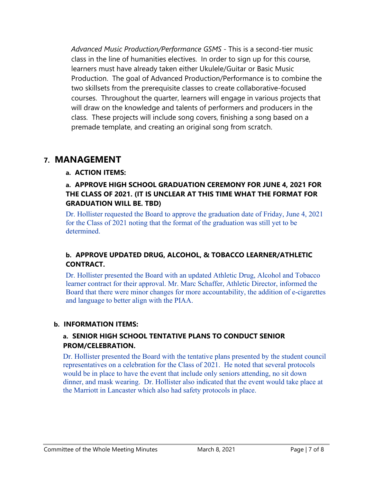*Advanced Music Production/Performance GSMS* - This is a second-tier music class in the line of humanities electives. In order to sign up for this course, learners must have already taken either Ukulele/Guitar or Basic Music Production. The goal of Advanced Production/Performance is to combine the two skillsets from the prerequisite classes to create collaborative-focused courses. Throughout the quarter, learners will engage in various projects that will draw on the knowledge and talents of performers and producers in the class. These projects will include song covers, finishing a song based on a premade template, and creating an original song from scratch.

# **7. MANAGEMENT**

### **a. ACTION ITEMS:**

### **a. APPROVE HIGH SCHOOL GRADUATION CEREMONY FOR JUNE 4, 2021 FOR THE CLASS OF 2021. (IT IS UNCLEAR AT THIS TIME WHAT THE FORMAT FOR GRADUATION WILL BE. TBD)**

Dr. Hollister requested the Board to approve the graduation date of Friday, June 4, 2021 for the Class of 2021 noting that the format of the graduation was still yet to be determined.

# **b. APPROVE UPDATED DRUG, ALCOHOL, & TOBACCO LEARNER/ATHLETIC CONTRACT.**

Dr. Hollister presented the Board with an updated Athletic Drug, Alcohol and Tobacco learner contract for their approval. Mr. Marc Schaffer, Athletic Director, informed the Board that there were minor changes for more accountability, the addition of e-cigarettes and language to better align with the PIAA.

### **b. INFORMATION ITEMS:**

### **a. SENIOR HIGH SCHOOL TENTATIVE PLANS TO CONDUCT SENIOR PROM/CELEBRATION.**

Dr. Hollister presented the Board with the tentative plans presented by the student council representatives on a celebration for the Class of 2021. He noted that several protocols would be in place to have the event that include only seniors attending, no sit down dinner, and mask wearing. Dr. Hollister also indicated that the event would take place at the Marriott in Lancaster which also had safety protocols in place.